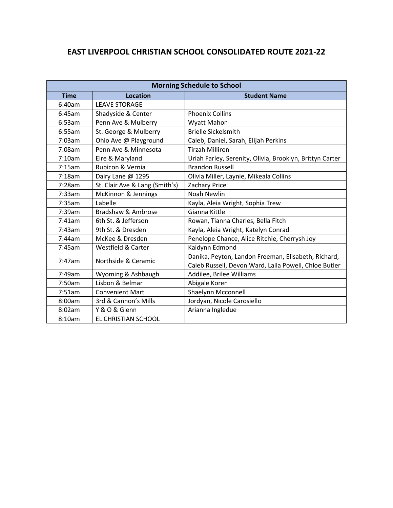## **EAST LIVERPOOL CHRISTIAN SCHOOL CONSOLIDATED ROUTE 2021-22**

| <b>Morning Schedule to School</b> |                                |                                                          |
|-----------------------------------|--------------------------------|----------------------------------------------------------|
| <b>Time</b>                       | <b>Location</b>                | <b>Student Name</b>                                      |
| 6:40am                            | <b>LEAVE STORAGE</b>           |                                                          |
| 6:45am                            | Shadyside & Center             | <b>Phoenix Collins</b>                                   |
| 6:53am                            | Penn Ave & Mulberry            | Wyatt Mahon                                              |
| 6:55am                            | St. George & Mulberry          | <b>Brielle Sickelsmith</b>                               |
| 7:03am                            | Ohio Ave @ Playground          | Caleb, Daniel, Sarah, Elijah Perkins                     |
| 7:08am                            | Penn Ave & Minnesota           | <b>Tirzah Milliron</b>                                   |
| 7:10am                            | Eire & Maryland                | Uriah Farley, Serenity, Olivia, Brooklyn, Brittyn Carter |
| 7:15am                            | Rubicon & Vernia               | <b>Brandon Russell</b>                                   |
| 7:18am                            | Dairy Lane @ 1295              | Olivia Miller, Laynie, Mikeala Collins                   |
| 7:28am                            | St. Clair Ave & Lang (Smith's) | Zachary Price                                            |
| 7:33am                            | McKinnon & Jennings            | <b>Noah Newlin</b>                                       |
| 7:35am                            | Labelle                        | Kayla, Aleia Wright, Sophia Trew                         |
| 7:39am                            | Bradshaw & Ambrose             | Gianna Kittle                                            |
| 7:41am                            | 6th St. & Jefferson            | Rowan, Tianna Charles, Bella Fitch                       |
| 7:43am                            | 9th St. & Dresden              | Kayla, Aleia Wright, Katelyn Conrad                      |
| 7:44am                            | McKee & Dresden                | Penelope Chance, Alice Ritchie, Cherrysh Joy             |
| 7:45am                            | Westfield & Carter             | Kaidynn Edmond                                           |
| 7:47am                            | Northside & Ceramic            | Danika, Peyton, Landon Freeman, Elisabeth, Richard,      |
|                                   |                                | Caleb Russell, Devon Ward, Laila Powell, Chloe Butler    |
| 7:49am                            | Wyoming & Ashbaugh             | Addilee, Brilee Williams                                 |
| 7:50am                            | Lisbon & Belmar                | Abigale Koren                                            |
| 7:51am                            | <b>Convenient Mart</b>         | Shaelynn Mcconnell                                       |
| 8:00am                            | 3rd & Cannon's Mills           | Jordyan, Nicole Carosiello                               |
| 8:02am                            | Y & O & Glenn                  | Arianna Ingledue                                         |
| 8:10am                            | EL CHRISTIAN SCHOOL            |                                                          |